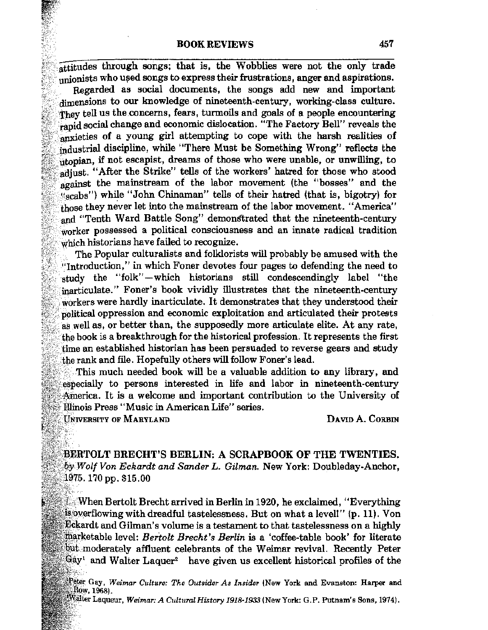## **BOOK REVIEWS**

attitudes through songs; that is, the Wobblies were not the only trade unionists who used songs to express their frustrations, anger and aspirations.

Regarded as social documents, the songs add new and important dimensions to our knowledge of nineteenth-century, working-class culture. They tell us the concerns, fears, turmoils and goals of a people encountering rapid social change and economic dislocation. "The Factory Bell" reveals the anxieties of a young girl attempting to cope with the harsh realities of industrial discipline, while "There Must be Something Wrong" reflects the utopian, if not escapist, dreams of those who were unable, or unwilling, to adjust. "After the Strike" tells of the workers' hatred for those who stood against the mainstream of the labor movement (the "bosses" and the "scabs") while "John Chinaman" tells of their hatred (that is, bigotry) for those they never let into the mainstream of the labor movement. "America" and "Tenth Ward Battle Song" demonstrated that the nineteenth-century worker possessed a political consciousness and an innate radical tradition which historians have failed to recognize.

The Popular culturalists and folklorists will probably be amused with the "Introduction," in which Foner devotes four pages to defending the need to study the "folk"-which historians still condescendingly label "the inarticulate." Foner's book vividly illustrates that the nineteenth-century workers were hardly inarticulate. It demonstrates that they understood their political oppression and economic exploitation and articulated their protests as well as, or better than, the supposedly more articulate elite. At any rate, the book is a breakthrough for the historical profession. It represents the first time an established historian has been persuaded to reverse gears and study the rank and file. Hopefully others will follow Foner's lead.

This much needed book will be a valuable addition to any library, and especially to persons interested in life and labor in nineteenth-century America. It is a welcome and important contribution to the University of Illinois Press "Music in American Life" series.

**UNIVERSITY OF MARYLAND** 

DAVID A. CORBIN

**BERTOLT BRECHT'S BERLIN: A SCRAPBOOK OF THE TWENTIES.** by Wolf Von Eckardt and Sander L. Gilman. New York: Doubleday-Anchor.  $1975.170$  pp. \$15.00

When Bertolt Brecht arrived in Berlin in 1920, he exclaimed, "Everything" is overflowing with dreadful tastelessness. But on what a level!" (p. 11). Von **Eckardt and Gilman's volume is a testament to that tastelessness on a highly** marketable level: Bertolt Brecht's Berlin is a 'coffee-table book' for literate but moderately affluent celebrants of the Weimar revival. Recently Peter  $\mathbb{G}$ ay' and Walter Laquer<sup>2</sup> have given us excellent historical profiles of the

Peter Gay, Weimar Culture: The Outsider As Insider (New York and Evanston: Harper and Row, 1968).

Wälter Laqueur, *Weimar: A Cultural History 1918-1933* (New York: G.P. Putnam's Sons, 1974).